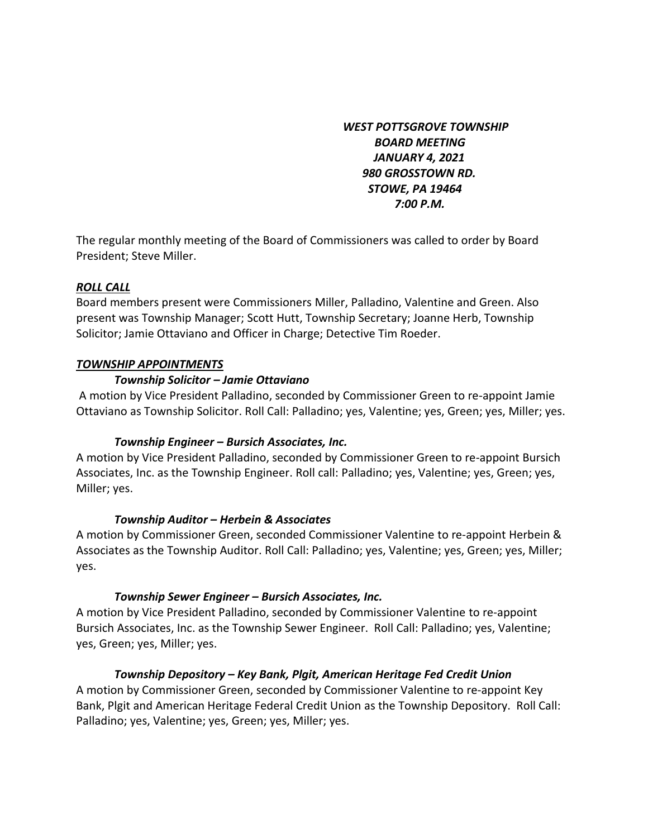*WEST POTTSGROVE TOWNSHIP BOARD MEETING JANUARY 4, 2021 980 GROSSTOWN RD. STOWE, PA 19464 7:00 P.M.* 

The regular monthly meeting of the Board of Commissioners was called to order by Board President; Steve Miller.

#### *ROLL CALL*

Board members present were Commissioners Miller, Palladino, Valentine and Green. Also present was Township Manager; Scott Hutt, Township Secretary; Joanne Herb, Township Solicitor; Jamie Ottaviano and Officer in Charge; Detective Tim Roeder.

#### *TOWNSHIP APPOINTMENTS*

#### *Township Solicitor – Jamie Ottaviano*

A motion by Vice President Palladino, seconded by Commissioner Green to re-appoint Jamie Ottaviano as Township Solicitor. Roll Call: Palladino; yes, Valentine; yes, Green; yes, Miller; yes.

# *Township Engineer – Bursich Associates, Inc.*

A motion by Vice President Palladino, seconded by Commissioner Green to re-appoint Bursich Associates, Inc. as the Township Engineer. Roll call: Palladino; yes, Valentine; yes, Green; yes, Miller; yes.

#### *Township Auditor – Herbein & Associates*

A motion by Commissioner Green, seconded Commissioner Valentine to re-appoint Herbein & Associates as the Township Auditor. Roll Call: Palladino; yes, Valentine; yes, Green; yes, Miller; yes.

# *Township Sewer Engineer – Bursich Associates, Inc.*

A motion by Vice President Palladino, seconded by Commissioner Valentine to re-appoint Bursich Associates, Inc. as the Township Sewer Engineer. Roll Call: Palladino; yes, Valentine; yes, Green; yes, Miller; yes.

# *Township Depository – Key Bank, Plgit, American Heritage Fed Credit Union*

A motion by Commissioner Green, seconded by Commissioner Valentine to re-appoint Key Bank, Plgit and American Heritage Federal Credit Union as the Township Depository. Roll Call: Palladino; yes, Valentine; yes, Green; yes, Miller; yes.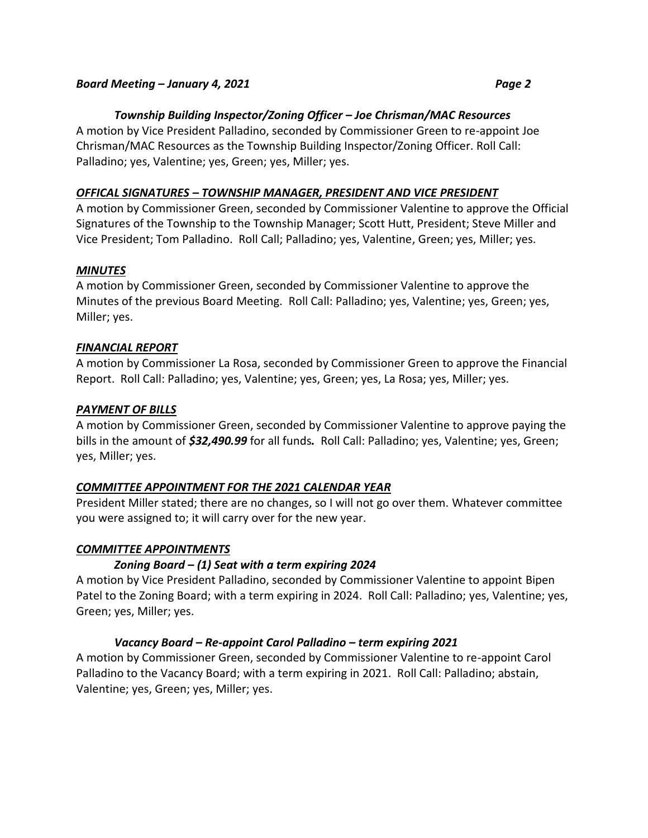#### *Board Meeting – January 4, 2021 Page 2*

# *Township Building Inspector/Zoning Officer – Joe Chrisman/MAC Resources*

A motion by Vice President Palladino, seconded by Commissioner Green to re-appoint Joe Chrisman/MAC Resources as the Township Building Inspector/Zoning Officer. Roll Call: Palladino; yes, Valentine; yes, Green; yes, Miller; yes.

#### *OFFICAL SIGNATURES – TOWNSHIP MANAGER, PRESIDENT AND VICE PRESIDENT*

A motion by Commissioner Green, seconded by Commissioner Valentine to approve the Official Signatures of the Township to the Township Manager; Scott Hutt, President; Steve Miller and Vice President; Tom Palladino. Roll Call; Palladino; yes, Valentine, Green; yes, Miller; yes.

#### *MINUTES*

A motion by Commissioner Green, seconded by Commissioner Valentine to approve the Minutes of the previous Board Meeting. Roll Call: Palladino; yes, Valentine; yes, Green; yes, Miller; yes.

#### *FINANCIAL REPORT*

A motion by Commissioner La Rosa, seconded by Commissioner Green to approve the Financial Report. Roll Call: Palladino; yes, Valentine; yes, Green; yes, La Rosa; yes, Miller; yes.

#### *PAYMENT OF BILLS*

A motion by Commissioner Green, seconded by Commissioner Valentine to approve paying the bills in the amount of *\$32,490.99* for all funds*.* Roll Call: Palladino; yes, Valentine; yes, Green; yes, Miller; yes.

# *COMMITTEE APPOINTMENT FOR THE 2021 CALENDAR YEAR*

President Miller stated; there are no changes, so I will not go over them. Whatever committee you were assigned to; it will carry over for the new year.

# *COMMITTEE APPOINTMENTS*

# *Zoning Board – (1) Seat with a term expiring 2024*

A motion by Vice President Palladino, seconded by Commissioner Valentine to appoint Bipen Patel to the Zoning Board; with a term expiring in 2024. Roll Call: Palladino; yes, Valentine; yes, Green; yes, Miller; yes.

# *Vacancy Board – Re-appoint Carol Palladino – term expiring 2021*

A motion by Commissioner Green, seconded by Commissioner Valentine to re-appoint Carol Palladino to the Vacancy Board; with a term expiring in 2021. Roll Call: Palladino; abstain, Valentine; yes, Green; yes, Miller; yes.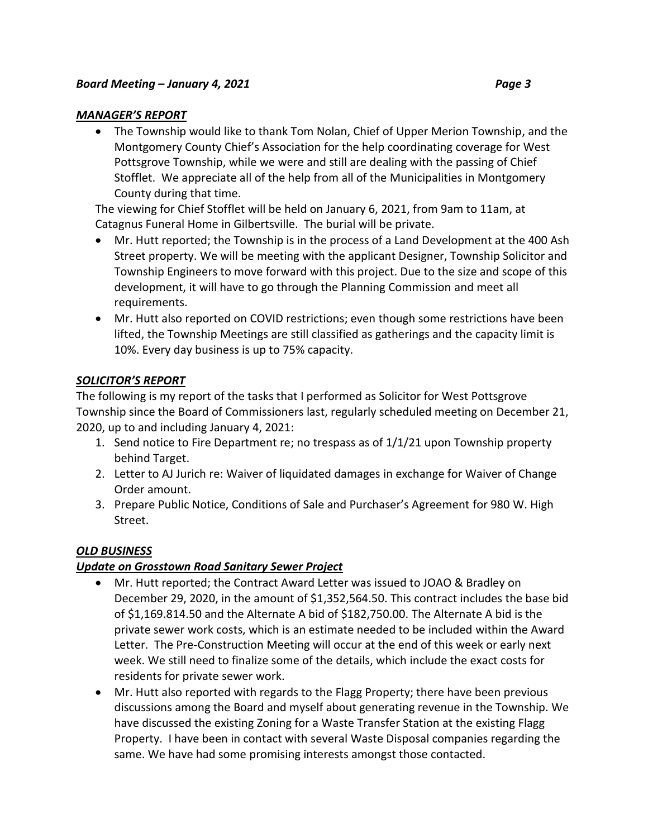#### *MANAGER'S REPORT*

 The Township would like to thank Tom Nolan, Chief of Upper Merion Township, and the Montgomery County Chief's Association for the help coordinating coverage for West Pottsgrove Township, while we were and still are dealing with the passing of Chief Stofflet. We appreciate all of the help from all of the Municipalities in Montgomery County during that time.

The viewing for Chief Stofflet will be held on January 6, 2021, from 9am to 11am, at Catagnus Funeral Home in Gilbertsville. The burial will be private.

- Mr. Hutt reported; the Township is in the process of a Land Development at the 400 Ash Street property. We will be meeting with the applicant Designer, Township Solicitor and Township Engineers to move forward with this project. Due to the size and scope of this development, it will have to go through the Planning Commission and meet all requirements.
- Mr. Hutt also reported on COVID restrictions; even though some restrictions have been lifted, the Township Meetings are still classified as gatherings and the capacity limit is 10%. Every day business is up to 75% capacity.

# *SOLICITOR'S REPORT*

The following is my report of the tasks that I performed as Solicitor for West Pottsgrove Township since the Board of Commissioners last, regularly scheduled meeting on December 21, 2020, up to and including January 4, 2021:

- 1. Send notice to Fire Department re; no trespass as of 1/1/21 upon Township property behind Target.
- 2. Letter to AJ Jurich re: Waiver of liquidated damages in exchange for Waiver of Change Order amount.
- 3. Prepare Public Notice, Conditions of Sale and Purchaser's Agreement for 980 W. High Street.

# *OLD BUSINESS*

# *Update on Grosstown Road Sanitary Sewer Project*

- Mr. Hutt reported; the Contract Award Letter was issued to JOAO & Bradley on December 29, 2020, in the amount of \$1,352,564.50. This contract includes the base bid of \$1,169.814.50 and the Alternate A bid of \$182,750.00. The Alternate A bid is the private sewer work costs, which is an estimate needed to be included within the Award Letter. The Pre-Construction Meeting will occur at the end of this week or early next week. We still need to finalize some of the details, which include the exact costs for residents for private sewer work.
- Mr. Hutt also reported with regards to the Flagg Property; there have been previous discussions among the Board and myself about generating revenue in the Township. We have discussed the existing Zoning for a Waste Transfer Station at the existing Flagg Property. I have been in contact with several Waste Disposal companies regarding the same. We have had some promising interests amongst those contacted.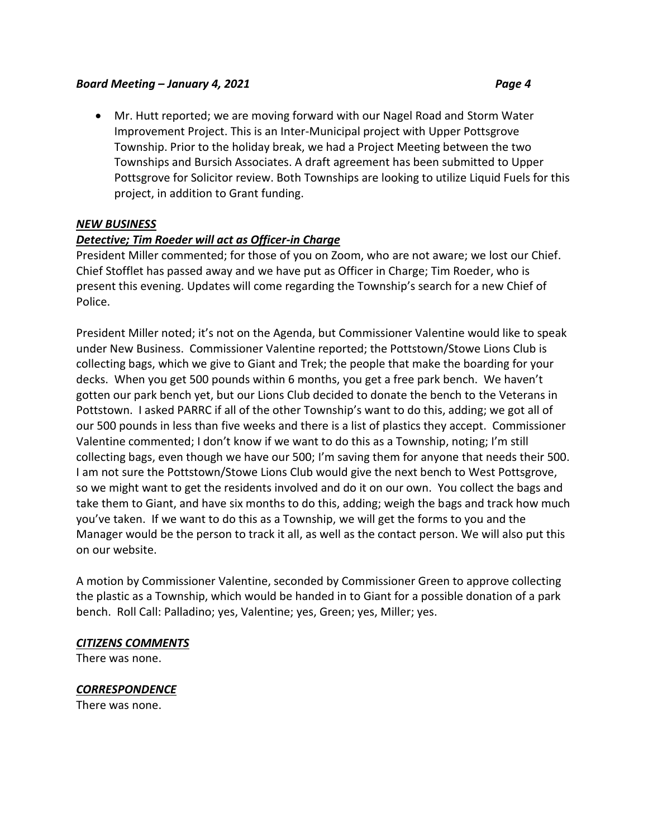#### *Board Meeting – January 4, 2021 Page 4*

 Mr. Hutt reported; we are moving forward with our Nagel Road and Storm Water Improvement Project. This is an Inter-Municipal project with Upper Pottsgrove Township. Prior to the holiday break, we had a Project Meeting between the two Townships and Bursich Associates. A draft agreement has been submitted to Upper Pottsgrove for Solicitor review. Both Townships are looking to utilize Liquid Fuels for this project, in addition to Grant funding.

# *NEW BUSINESS*

# *Detective; Tim Roeder will act as Officer-in Charge*

President Miller commented; for those of you on Zoom, who are not aware; we lost our Chief. Chief Stofflet has passed away and we have put as Officer in Charge; Tim Roeder, who is present this evening. Updates will come regarding the Township's search for a new Chief of Police.

President Miller noted; it's not on the Agenda, but Commissioner Valentine would like to speak under New Business. Commissioner Valentine reported; the Pottstown/Stowe Lions Club is collecting bags, which we give to Giant and Trek; the people that make the boarding for your decks. When you get 500 pounds within 6 months, you get a free park bench. We haven't gotten our park bench yet, but our Lions Club decided to donate the bench to the Veterans in Pottstown. I asked PARRC if all of the other Township's want to do this, adding; we got all of our 500 pounds in less than five weeks and there is a list of plastics they accept. Commissioner Valentine commented; I don't know if we want to do this as a Township, noting; I'm still collecting bags, even though we have our 500; I'm saving them for anyone that needs their 500. I am not sure the Pottstown/Stowe Lions Club would give the next bench to West Pottsgrove, so we might want to get the residents involved and do it on our own. You collect the bags and take them to Giant, and have six months to do this, adding; weigh the bags and track how much you've taken. If we want to do this as a Township, we will get the forms to you and the Manager would be the person to track it all, as well as the contact person. We will also put this on our website.

A motion by Commissioner Valentine, seconded by Commissioner Green to approve collecting the plastic as a Township, which would be handed in to Giant for a possible donation of a park bench. Roll Call: Palladino; yes, Valentine; yes, Green; yes, Miller; yes.

#### *CITIZENS COMMENTS*

There was none.

# *CORRESPONDENCE*

There was none.